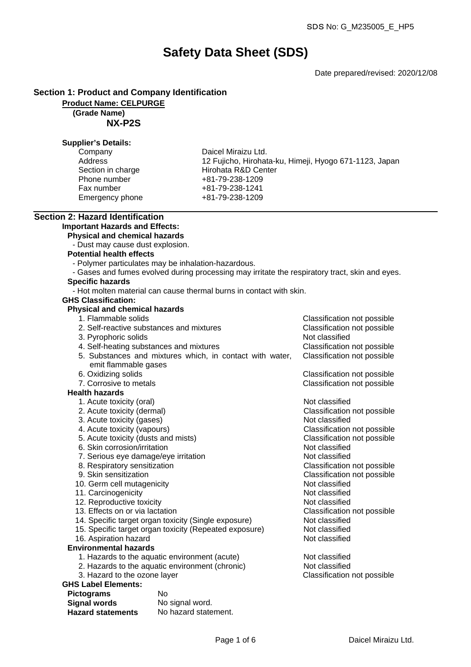# **Safety Data Sheet (SDS)**

Date prepared/revised: 2020/12/08

# **Section 1: Product and Company Identification**

**Product Name: CELPURGE**

# **(Grade Name)**

**NX-P2S**

## **Supplier's Details:**

| Company           |
|-------------------|
| <b>Address</b>    |
| Section in charge |
| Phone number      |
| Fax number        |
| Emergency phone   |

Daicel Miraizu Ltd. 12 Fujicho, Hirohata-ku, Himeji, Hyogo 671-1123, Japan Hirohata R&D Center +81-79-238-1209 Fax number +81-79-238-1241 Emergency phone +81-79-238-1209

# **Section 2: Hazard Identification**

# **Important Hazards and Effects:**

**Physical and chemical hazards**

- Dust may cause dust explosion.

#### **Potential health effects**

- Polymer particulates may be inhalation-hazardous.
- Gases and fumes evolved during processing may irritate the respiratory tract, skin and eyes.

# **Specific hazards**

- Hot molten material can cause thermal burns in contact with skin.

## **GHS Classification:**

# **Physical and chemical hazards**

- 1. Flammable solids Classification not possible
- 2. Self-reactive substances and mixtures Classification not possible 3. Pyrophoric solids Not classified 4. Self-heating substances and mixtures Classification not possible 5. Substances and mixtures which, in contact with water, emit flammable gases Classification not possible 6. Oxidizing solids Classification not possible 7. Corrosive to metals Classification not possible **Health hazards** 1. Acute toxicity (oral) and the contract of the Not classified 2. Acute toxicity (dermal) Classification not possible 3. Acute toxicity (gases) Not classified
	- 4. Acute toxicity (vapours) Classification not possible
	- 5. Acute toxicity (dusts and mists) Classification not possible
	- 6. Skin corrosion/irritation Not classified
	- 7. Serious eye damage/eye irritation and a series of Not classified
	- 8. Respiratory sensitization and the Classification not possible 9. Skin sensitization controller controller controller classification not possible classification not possible
	-
	- 10. Germ cell mutagenicity
	- 11. Carcinogenicity Not classified
	- 12. Reproductive toxicity and the set of the Not classified
	- 13. Effects on or via lactation Classification not possible
	- 14. Specific target organ toxicity (Single exposure) Not classified
	- 15. Specific target organ toxicity (Repeated exposure) Not classified
	- 16. Aspiration hazard Not classified
- **Environmental hazards**
	- 1. Hazards to the aquatic environment (acute) Not classified
	- 2. Hazards to the aquatic environment (chronic) Not classified
	- 3. Hazard to the ozone layer Classification not possible

# **GHS Label Elements:**

| <b>Pictograms</b>        | N٥                   |
|--------------------------|----------------------|
| <b>Signal words</b>      | No signal word.      |
| <b>Hazard statements</b> | No hazard statement. |

| Daicel Miraizu Ltd. |
|---------------------|
|                     |

Classification not possible<br>Not classified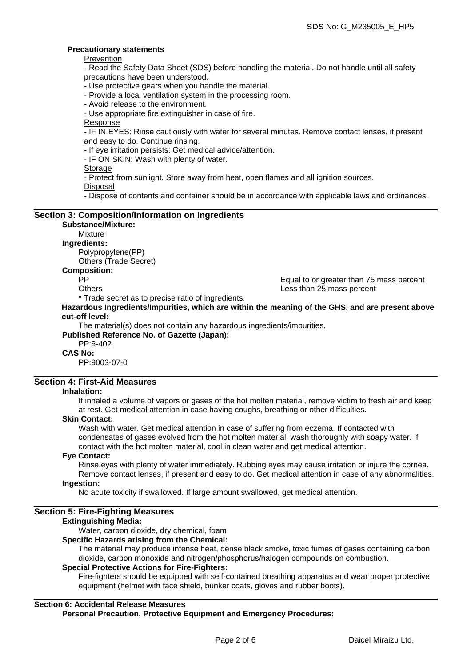Equal to or greater than 75 mass percent

# **Precautionary statements**

Prevention

- Read the Safety Data Sheet (SDS) before handling the material. Do not handle until all safety precautions have been understood.

- Use protective gears when you handle the material.

- Provide a local ventilation system in the processing room.
- Avoid release to the environment.

- Use appropriate fire extinguisher in case of fire.

Response

- IF IN EYES: Rinse cautiously with water for several minutes. Remove contact lenses, if present and easy to do. Continue rinsing.

- If eye irritation persists: Get medical advice/attention.

- IF ON SKIN: Wash with plenty of water.

Storage

- Protect from sunlight. Store away from heat, open flames and all ignition sources.

Disposal

- Dispose of contents and container should be in accordance with applicable laws and ordinances.

# **Section 3: Composition/Information on Ingredients**

#### **Substance/Mixture:** Mixture

**Ingredients:**

Polypropylene(PP)

Others (Trade Secret)

# **Composition:**

Others Less than 25 mass percent

\* Trade secret as to precise ratio of ingredients.

**Hazardous Ingredients/Impurities, which are within the meaning of the GHS, and are present above cut-off level:**

The material(s) does not contain any hazardous ingredients/impurities.

**Published Reference No. of Gazette (Japan):**

# PP:6-402

**CAS No:**

PP:9003-07-0

# **Section 4: First-Aid Measures**

#### **Inhalation:**

If inhaled a volume of vapors or gases of the hot molten material, remove victim to fresh air and keep at rest. Get medical attention in case having coughs, breathing or other difficulties.

#### **Skin Contact:**

Wash with water. Get medical attention in case of suffering from eczema. If contacted with condensates of gases evolved from the hot molten material, wash thoroughly with soapy water. If contact with the hot molten material, cool in clean water and get medical attention.

#### **Eye Contact:**

Rinse eyes with plenty of water immediately. Rubbing eyes may cause irritation or injure the cornea. Remove contact lenses, if present and easy to do. Get medical attention in case of any abnormalities.

# **Ingestion:**

No acute toxicity if swallowed. If large amount swallowed, get medical attention.

# **Section 5: Fire-Fighting Measures**

## **Extinguishing Media:**

Water, carbon dioxide, dry chemical, foam

## **Specific Hazards arising from the Chemical:**

The material may produce intense heat, dense black smoke, toxic fumes of gases containing carbon dioxide, carbon monoxide and nitrogen/phosphorus/halogen compounds on combustion.

## **Special Protective Actions for Fire-Fighters:**

Fire-fighters should be equipped with self-contained breathing apparatus and wear proper protective equipment (helmet with face shield, bunker coats, gloves and rubber boots).

# **Section 6: Accidental Release Measures**

**Personal Precaution, Protective Equipment and Emergency Procedures:**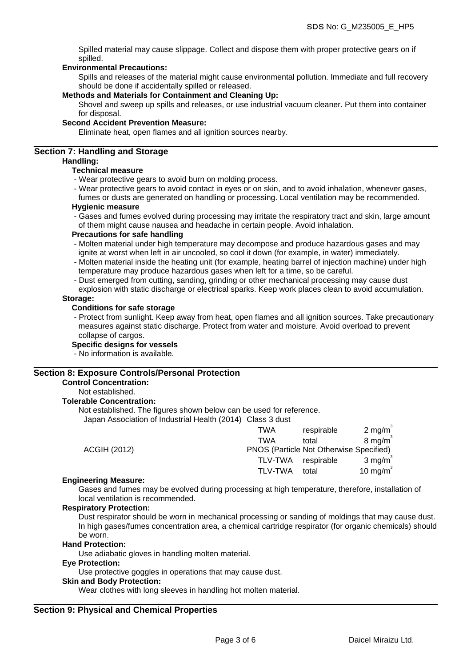Spilled material may cause slippage. Collect and dispose them with proper protective gears on if spilled.

## **Environmental Precautions:**

Spills and releases of the material might cause environmental pollution. Immediate and full recovery should be done if accidentally spilled or released.

#### **Methods and Materials for Containment and Cleaning Up:**

Shovel and sweep up spills and releases, or use industrial vacuum cleaner. Put them into container for disposal.

#### **Second Accident Prevention Measure:**

Eliminate heat, open flames and all ignition sources nearby.

# **Section 7: Handling and Storage**

# **Handling:**

# **Technical measure**

- Wear protective gears to avoid burn on molding process.
- Wear protective gears to avoid contact in eyes or on skin, and to avoid inhalation, whenever gases,

fumes or dusts are generated on handling or processing. Local ventilation may be recommended. **Hygienic measure**

- Gases and fumes evolved during processing may irritate the respiratory tract and skin, large amount of them might cause nausea and headache in certain people. Avoid inhalation.

#### **Precautions for safe handling**

- Molten material under high temperature may decompose and produce hazardous gases and may ignite at worst when left in air uncooled, so cool it down (for example, in water) immediately.
- Molten material inside the heating unit (for example, heating barrel of injection machine) under high temperature may produce hazardous gases when left for a time, so be careful.
- Dust emerged from cutting, sanding, grinding or other mechanical processing may cause dust
- explosion with static discharge or electrical sparks. Keep work places clean to avoid accumulation. **Storage:**

#### **Conditions for safe storage**

- Protect from sunlight. Keep away from heat, open flames and all ignition sources. Take precautionary measures against static discharge. Protect from water and moisture. Avoid overload to prevent collapse of cargos.

#### **Specific designs for vessels**

- No information is available.

#### **Section 8: Exposure Controls/Personal Protection**

#### **Control Concentration:**

# Not established.

**Tolerable Concentration:**

Not established. The figures shown below can be used for reference.

Japan Association of Industrial Health (2014) Class 3 dust

|                     | TWA                                     | respirable | $2 \text{ mg/m}^3$                      |
|---------------------|-----------------------------------------|------------|-----------------------------------------|
|                     | TWA                                     | total      | $8 \text{ mg/m}^3$                      |
| <b>ACGIH (2012)</b> | PNOS (Particle Not Otherwise Specified) |            |                                         |
|                     | <b>TLV-TWA</b>                          | respirable | $3 \text{ mg/m}$                        |
|                     | <b>TLV-TWA</b>                          | total      | 10 mg/m <sup><math>\degree</math></sup> |
|                     |                                         |            |                                         |

#### **Engineering Measure:**

Gases and fumes may be evolved during processing at high temperature, therefore, installation of local ventilation is recommended.

### **Respiratory Protection:**

Dust respirator should be worn in mechanical processing or sanding of moldings that may cause dust. In high gases/fumes concentration area, a chemical cartridge respirator (for organic chemicals) should be worn.

#### **Hand Protection:**

Use adiabatic gloves in handling molten material.

# **Eye Protection:**

Use protective goggles in operations that may cause dust.

#### **Skin and Body Protection:**

Wear clothes with long sleeves in handling hot molten material.

## **Section 9: Physical and Chemical Properties**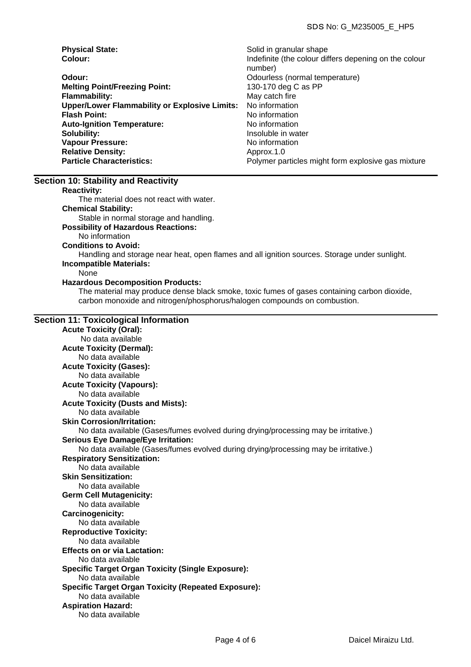| <b>Physical State:</b>                               | Solid in granular shape                               |
|------------------------------------------------------|-------------------------------------------------------|
| Colour:                                              | Indefinite (the colour differs depening on the colour |
|                                                      | number)                                               |
| Odour:                                               | Odourless (normal temperature)                        |
| <b>Melting Point/Freezing Point:</b>                 | 130-170 deg C as PP                                   |
| <b>Flammability:</b>                                 | May catch fire                                        |
| <b>Upper/Lower Flammability or Explosive Limits:</b> | No information                                        |
| <b>Flash Point:</b>                                  | No information                                        |
| <b>Auto-Ignition Temperature:</b>                    | No information                                        |
| Solubility:                                          | Insoluble in water                                    |
| <b>Vapour Pressure:</b>                              | No information                                        |
| <b>Relative Density:</b>                             | Approx.1.0                                            |
| <b>Particle Characteristics:</b>                     | Polymer particles might form explosive gas mixture    |

#### **Section 10: Stability and Reactivity**

#### **Reactivity:**

The material does not react with water.

# **Chemical Stability:**

Stable in normal storage and handling.

## **Possibility of Hazardous Reactions:**

No information

# **Conditions to Avoid:**

Handling and storage near heat, open flames and all ignition sources. Storage under sunlight.

#### **Incompatible Materials:** None

#### **Hazardous Decomposition Products:**

The material may produce dense black smoke, toxic fumes of gases containing carbon dioxide, carbon monoxide and nitrogen/phosphorus/halogen compounds on combustion.

#### **Section 11: Toxicological Information**

**Acute Toxicity (Oral):** No data available **Acute Toxicity (Dermal):** No data available **Acute Toxicity (Gases):** No data available **Acute Toxicity (Vapours):** No data available **Acute Toxicity (Dusts and Mists):** No data available **Skin Corrosion/Irritation:** No data available (Gases/fumes evolved during drying/processing may be irritative.) **Serious Eye Damage/Eye Irritation:** No data available (Gases/fumes evolved during drying/processing may be irritative.) **Respiratory Sensitization:** No data available **Skin Sensitization:** No data available **Germ Cell Mutagenicity:** No data available **Carcinogenicity:** No data available **Reproductive Toxicity:** No data available **Effects on or via Lactation:** No data available **Specific Target Organ Toxicity (Single Exposure):** No data available **Specific Target Organ Toxicity (Repeated Exposure):** No data available **Aspiration Hazard:** No data available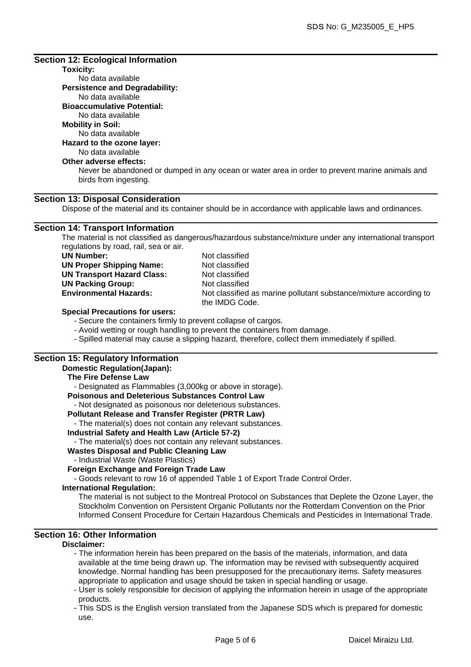## **Section 12: Ecological Information**

# **Toxicity:**

No data available **Persistence and Degradability:** No data available

**Bioaccumulative Potential:**

No data available

# **Mobility in Soil:**

No data available

# **Hazard to the ozone layer:**

#### No data available **Other adverse effects:**

Never be abandoned or dumped in any ocean or water area in order to prevent marine animals and birds from ingesting.

# **Section 13: Disposal Consideration**

Dispose of the material and its container should be in accordance with applicable laws and ordinances.

# **Section 14: Transport Information**

The material is not classified as dangerous/hazardous substance/mixture under any international transport regulations by road, rail, sea or air.

| <b>UN Number:</b>                 |
|-----------------------------------|
| <b>UN Proper Shipping Name:</b>   |
| <b>UN Transport Hazard Class:</b> |
| <b>UN Packing Group:</b>          |
| <b>Environmental Hazards:</b>     |
|                                   |

**Not classified Not classified Not classified Not classified** Not classified as marine pollutant substance/mixture according to the IMDG Code.

## **Special Precautions for users:**

- Secure the containers firmly to prevent collapse of cargos.

- Avoid wetting or rough handling to prevent the containers from damage.
- Spilled material may cause a slipping hazard, therefore, collect them immediately if spilled.

# **Section 15: Regulatory Information**

# **Domestic Regulation(Japan): The Fire Defense Law** - Designated as Flammables (3,000kg or above in storage). **Poisonous and Deleterious Substances Control Law** - Not designated as poisonous nor deleterious substances. **Pollutant Release and Transfer Register (PRTR Law)** - The material(s) does not contain any relevant substances. **Industrial Safety and Health Law (Article 57-2)** - The material(s) does not contain any relevant substances. **Wastes Disposal and Public Cleaning Law** - Industrial Waste (Waste Plastics) **Foreign Exchange and Foreign Trade Law** - Goods relevant to row 16 of appended Table 1 of Export Trade Control Order. **International Regulation:**

The material is not subject to the Montreal Protocol on Substances that Deplete the Ozone Layer, the Stockholm Convention on Persistent Organic Pollutants nor the Rotterdam Convention on the Prior Informed Consent Procedure for Certain Hazardous Chemicals and Pesticides in International Trade.

# **Section 16: Other Information**

# **Disclaimer:**

- The information herein has been prepared on the basis of the materials, information, and data available at the time being drawn up. The information may be revised with subsequently acquired knowledge. Normal handling has been presupposed for the precautionary items. Safety measures appropriate to application and usage should be taken in special handling or usage.

- User is solely responsible for decision of applying the information herein in usage of the appropriate products.

- This SDS is the English version translated from the Japanese SDS which is prepared for domestic use.